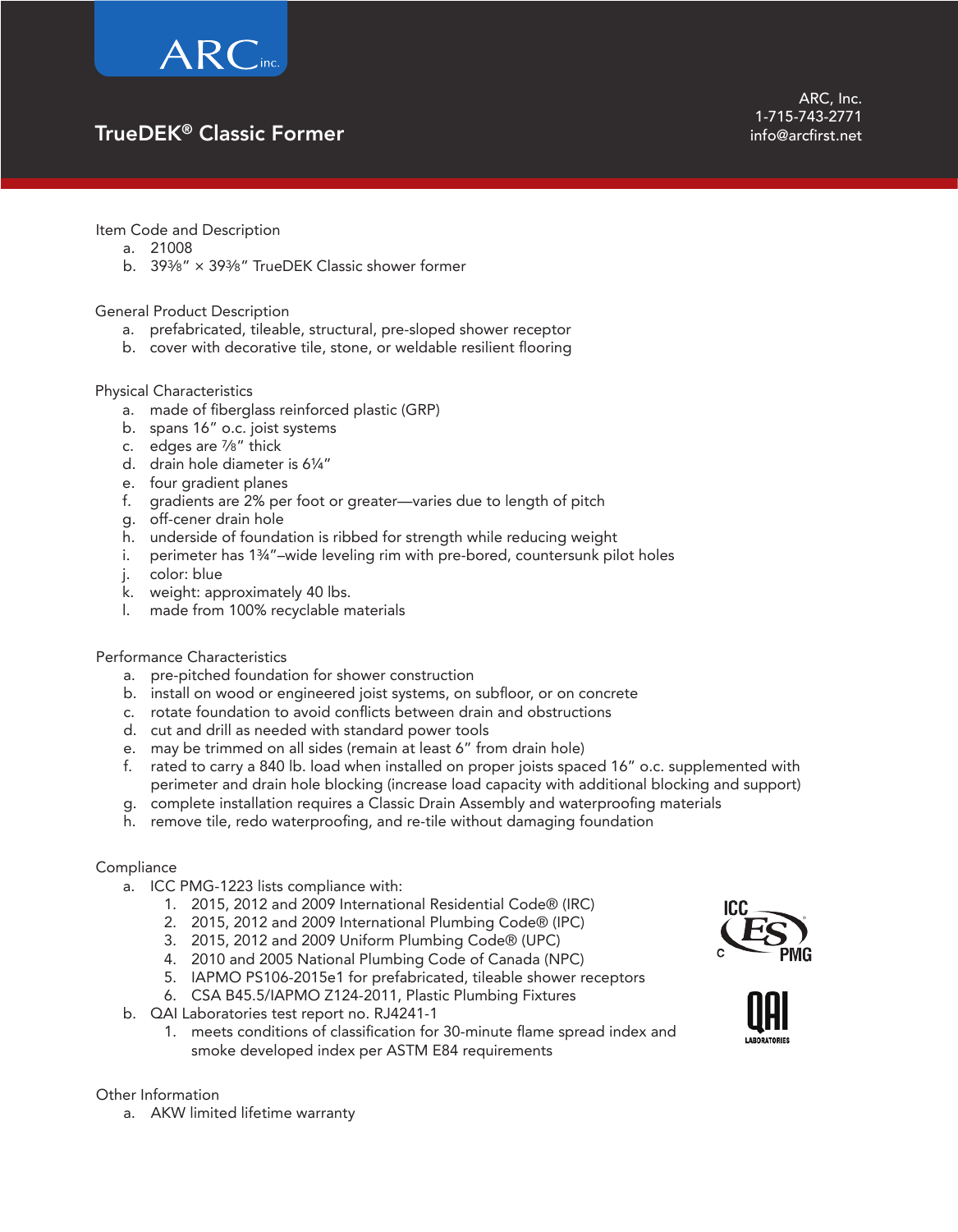

## TrueDEK® Classic Former

Item Code and Description

- a. 21008
- b. 393⁄8" × 393⁄8" TrueDEK Classic shower former

### General Product Description

- a. prefabricated, tileable, structural, pre-sloped shower receptor
- b. cover with decorative tile, stone, or weldable resilient flooring

### Physical Characteristics

- a. made of fiberglass reinforced plastic (GRP)
- b. spans 16" o.c. joist systems
- c. edges are 7⁄8" thick
- d. drain hole diameter is 6¼"
- e. four gradient planes
- f. gradients are 2% per foot or greater—varies due to length of pitch
- g. off-cener drain hole
- h. underside of foundation is ribbed for strength while reducing weight
- i. perimeter has 134"-wide leveling rim with pre-bored, countersunk pilot holes
- j. color: blue
- k. weight: approximately 40 lbs.
- l. made from 100% recyclable materials

#### Performance Characteristics

- a. pre-pitched foundation for shower construction
- b. install on wood or engineered joist systems, on subfloor, or on concrete
- c. rotate foundation to avoid conflicts between drain and obstructions
- d. cut and drill as needed with standard power tools
- e. may be trimmed on all sides (remain at least 6" from drain hole)
- f. rated to carry a 840 lb. load when installed on proper joists spaced 16" o.c. supplemented with perimeter and drain hole blocking (increase load capacity with additional blocking and support)
- g. complete installation requires a Classic Drain Assembly and waterproofing materials
- h. remove tile, redo waterproofing, and re-tile without damaging foundation

#### **Compliance**

- a. ICC PMG-1223 lists compliance with:
	- 1. 2015, 2012 and 2009 International Residential Code® (IRC)
	- 2. 2015, 2012 and 2009 International Plumbing Code® (IPC)
	- 3. 2015, 2012 and 2009 Uniform Plumbing Code® (UPC)
	- 4. 2010 and 2005 National Plumbing Code of Canada (NPC)
	- 5. IAPMO PS106-2015e1 for prefabricated, tileable shower receptors
	- 6. CSA B45.5/IAPMO Z124-2011, Plastic Plumbing Fixtures
- b. QAI Laboratories test report no. RJ4241-1
	- 1. meets conditions of classification for 30-minute flame spread index and smoke developed index per ASTM E84 requirements



Other Information

a. AKW limited lifetime warranty